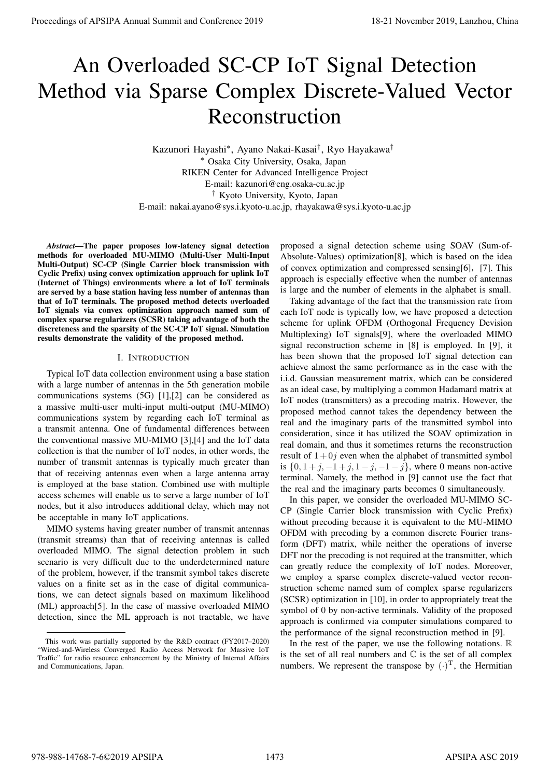# An Overloaded SC-CP IoT Signal Detection Method via Sparse Complex Discrete-Valued Vector Reconstruction

Kazunori Hayashi*<sup>∗</sup>* , Ayano Nakai-Kasai*†* , Ryo Hayakawa*† <sup>∗</sup>* Osaka City University, Osaka, Japan RIKEN Center for Advanced Intelligence Project E-mail: kazunori@eng.osaka-cu.ac.jp *†* Kyoto University, Kyoto, Japan E-mail: nakai.ayano@sys.i.kyoto-u.ac.jp, rhayakawa@sys.i.kyoto-u.ac.jp

*Abstract*—The paper proposes low-latency signal detection methods for overloaded MU-MIMO (Multi-User Multi-Input Multi-Output) SC-CP (Single Carrier block transmission with Cyclic Prefix) using convex optimization approach for uplink IoT (Internet of Things) environments where a lot of IoT terminals are served by a base station having less number of antennas than that of IoT terminals. The proposed method detects overloaded IoT signals via convex optimization approach named sum of complex sparse regularizers (SCSR) taking advantage of both the discreteness and the sparsity of the SC-CP IoT signal. Simulation results demonstrate the validity of the proposed method.

### I. INTRODUCTION

Typical IoT data collection environment using a base station with a large number of antennas in the 5th generation mobile communications systems (5G) [1],[2] can be considered as a massive multi-user multi-input multi-output (MU-MIMO) communications system by regarding each IoT terminal as a transmit antenna. One of fundamental differences between the conventional massive MU-MIMO [3],[4] and the IoT data collection is that the number of IoT nodes, in other words, the number of transmit antennas is typically much greater than that of receiving antennas even when a large antenna array is employed at the base station. Combined use with multiple access schemes will enable us to serve a large number of IoT nodes, but it also introduces additional delay, which may not be acceptable in many IoT applications.

MIMO systems having greater number of transmit antennas (transmit streams) than that of receiving antennas is called overloaded MIMO. The signal detection problem in such scenario is very difficult due to the underdetermined nature of the problem, however, if the transmit symbol takes discrete values on a finite set as in the case of digital communications, we can detect signals based on maximum likelihood (ML) approach[5]. In the case of massive overloaded MIMO detection, since the ML approach is not tractable, we have

proposed a signal detection scheme using SOAV (Sum-of-Absolute-Values) optimization[8], which is based on the idea of convex optimization and compressed sensing[6],[7]. This approach is especially effective when the number of antennas is large and the number of elements in the alphabet is small.

Taking advantage of the fact that the transmission rate from each IoT node is typically low, we have proposed a detection scheme for uplink OFDM (Orthogonal Frequency Devision Multiplexing) IoT signals[9], where the overloaded MIMO signal reconstruction scheme in [8] is employed. In [9], it has been shown that the proposed IoT signal detection can achieve almost the same performance as in the case with the i.i.d. Gaussian measurement matrix, which can be considered as an ideal case, by multiplying a common Hadamard matrix at IoT nodes (transmitters) as a precoding matrix. However, the proposed method cannot takes the dependency between the real and the imaginary parts of the transmitted symbol into consideration, since it has utilized the SOAV optimization in real domain, and thus it sometimes returns the reconstruction result of  $1+0j$  even when the alphabet of transmitted symbol is  ${0, 1 + j, −1 + j, 1 – j, −1 – j}$ , where 0 means non-active terminal. Namely, the method in [9] cannot use the fact that the real and the imaginary parts becomes 0 simultaneously. **Proceedings of APSIPA Annual Summit at China 978-988-14768-7-60**<br>
Annual Summit and Conference 2019, APSIPA Annual Summit and Conference 2019, Lanzhou, China 978-988-14768-7-60<br>
Experiment Theoretic Conference 2019, APSI

In this paper, we consider the overloaded MU-MIMO SC-CP (Single Carrier block transmission with Cyclic Prefix) without precoding because it is equivalent to the MU-MIMO OFDM with precoding by a common discrete Fourier transform (DFT) matrix, while neither the operations of inverse DFT nor the precoding is not required at the transmitter, which can greatly reduce the complexity of IoT nodes. Moreover, we employ a sparse complex discrete-valued vector reconstruction scheme named sum of complex sparse regularizers (SCSR) optimization in [10], in order to appropriately treat the symbol of 0 by non-active terminals. Validity of the proposed approach is confirmed via computer simulations compared to the performance of the signal reconstruction method in [9].

In the rest of the paper, we use the following notations.  $\mathbb R$ is the set of all real numbers and  $\mathbb C$  is the set of all complex numbers. We represent the transpose by  $(\cdot)$ , the Hermitian

This work was partially supported by the R&D contract (FY2017–2020) "Wired-and-Wireless Converged Radio Access Network for Massive IoT Traffic" for radio resource enhancement by the Ministry of Internal Affairs and Communications, Japan.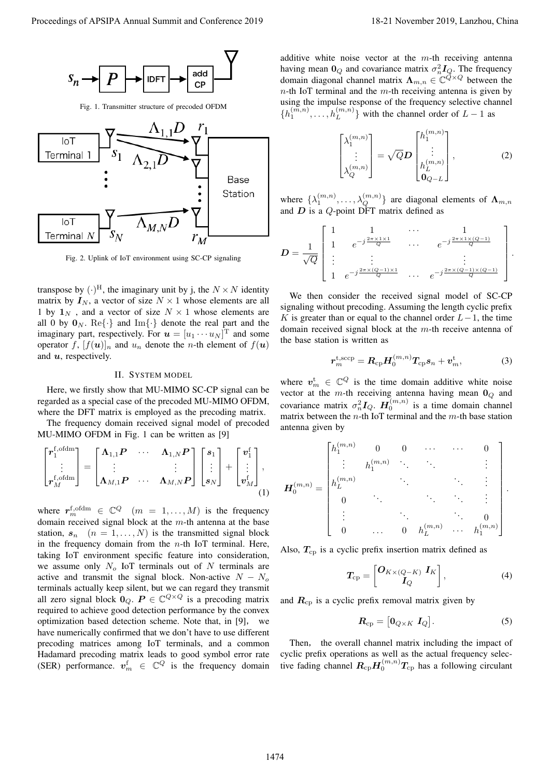

Fig. 1. Transmitter structure of precoded OFDM



Fig. 2. Uplink of IoT environment using SC-CP signaling

transpose by  $(\cdot)^{H}$ , the imaginary unit by j, the  $N \times N$  identity matrix by  $I_N$ , a vector of size  $N \times 1$  whose elements are all 1 by  $1_N$ , and a vector of size  $N \times 1$  whose elements are all 0 by  $\mathbf{0}_N$ . Re $\{\cdot\}$  and Im $\{\cdot\}$  denote the real part and the imaginary part, respectively. For  $u = [u_1 \cdots u_N]$  and some operator *f*,  $[f(\boldsymbol{u})]_n$  and  $u_n$  denote the *n*-th element of  $f(\boldsymbol{u})$ and *u*, respectively.

#### II. SYSTEM MODEL

Here, we firstly show that MU-MIMO SC-CP signal can be regarded as a special case of the precoded MU-MIMO OFDM, where the DFT matrix is employed as the precoding matrix.

The frequency domain received signal model of precoded MU-MIMO OFDM in Fig. 1 can be written as [9]

$$
\begin{bmatrix} \boldsymbol{r}_{1}^{\mathrm{f, ofdm}} \\ \vdots \\ \boldsymbol{r}_{M}^{\mathrm{f, ofdm}} \end{bmatrix} = \begin{bmatrix} \boldsymbol{\Lambda}_{1,1} \boldsymbol{P} & \cdots & \boldsymbol{\Lambda}_{1,N} \boldsymbol{P} \\ \vdots & & \vdots \\ \boldsymbol{\Lambda}_{M,1} \boldsymbol{P} & \cdots & \boldsymbol{\Lambda}_{M,N} \boldsymbol{P} \end{bmatrix} \begin{bmatrix} s_{1} \\ \vdots \\ s_{N} \end{bmatrix} + \begin{bmatrix} \boldsymbol{v}_{1}^{\mathrm{f}} \\ \vdots \\ \boldsymbol{v}_{M}^{\mathrm{f}} \end{bmatrix},
$$
\n(1)

where  $r_m^{\text{f,offm}} \in \mathbb{C}^Q$   $(m = 1, ..., M)$  is the frequency domain received signal block at the *m*-th antenna at the base station,  $s_n$  ( $n = 1, \ldots, N$ ) is the transmitted signal block in the frequency domain from the *n*-th IoT terminal. Here, taking IoT environment specific feature into consideration, we assume only *N<sup>o</sup>* IoT terminals out of *N* terminals are active and transmit the signal block. Non-active  $N - N_o$ terminals actually keep silent, but we can regard they transmit all zero signal block  $\mathbf{0}_Q$ .  $P \in \mathbb{C}^{Q \times Q}$  is a precoding matrix required to achieve good detection performance by the convex optimization based detection scheme. Note that, in [9], we have numerically confirmed that we don't have to use different precoding matrices among IoT terminals, and a common Hadamard precoding matrix leads to good symbol error rate (SER) performance.  $v_m^{\text{f}} \in \mathbb{C}^Q$  is the frequency domain Proceedings of APSIPA Annual Summit and Conference 2019 18-21 November 2019, China 2019, China 2019, China 2019, China 2019, China 2019, China 2019, China 2019, China 2019, China 2019, China 2019, China 2019, China 2019,

additive white noise vector at the *m*-th receiving antenna having mean  $\mathbf{0}_Q$  and covariance matrix  $\sigma_n^2 \mathbf{I}_Q$ . The frequency domain diagonal channel matrix  $\Lambda_{m,n} \in \mathbb{C}^{\mathbb{Q} \times \mathbb{Q}}$  between the *n*-th IoT terminal and the *m*-th receiving antenna is given by using the impulse response of the frequency selective channel  $\{h_1^{(m,n)}, \ldots, h_L^{(m,n)}\}$  with the channel order of *L* − 1 as

$$
\begin{bmatrix} \lambda_1^{(m,n)} \\ \vdots \\ \lambda_Q^{(m,n)} \end{bmatrix} = \sqrt{Q} \mathbf{D} \begin{bmatrix} h_1^{(m,n)} \\ \vdots \\ h_L^{(m,n)} \\ \mathbf{0}_{Q-L} \end{bmatrix},
$$
 (2)

where  $\{\lambda_1^{(m,n)}, \ldots, \lambda_Q^{(m,n)}\}$  are diagonal elements of  $\Lambda_{m,n}$ and *D* is a *Q*-point DFT matrix defined as

$$
\boldsymbol{D} = \frac{1}{\sqrt{Q}} \begin{bmatrix} 1 & 1 & \cdots & 1 \\ 1 & e^{-j\frac{2\pi \times 1 \times 1}{Q}} & \cdots & e^{-j\frac{2\pi \times 1 \times (Q-1)}{Q}} \\ \vdots & \vdots & \ddots & \vdots \\ 1 & e^{-j\frac{2\pi \times (Q-1) \times 1}{Q}} & \cdots & e^{-j\frac{2\pi \times (Q-1) \times (Q-1)}{Q}} \end{bmatrix}.
$$

We then consider the received signal model of SC-CP signaling without precoding. Assuming the length cyclic prefix *K* is greater than or equal to the channel order *L−*1, the time domain received signal block at the *m*-th receive antenna of the base station is written as

$$
\boldsymbol{r}_{m}^{\mathrm{t,sccp}} = \boldsymbol{R}_{\mathrm{cp}} \boldsymbol{H}_{0}^{(m,n)} \boldsymbol{T}_{\mathrm{cp}} \boldsymbol{s}_{n} + \boldsymbol{v}_{m}^{\mathrm{t}}, \tag{3}
$$

where  $v_m^{\text{t}} \in \mathbb{C}^Q$  is the time domain additive white noise vector at the *m*-th receiving antenna having mean **0***<sup>Q</sup>* and covariance matrix  $\sigma_n^2 I_Q$ .  $H_0^{(m,n)}$  is a time domain channel matrix between the *n*-th IoT terminal and the *m*-th base station antenna given by

$$
\boldsymbol{H}_{0}^{(m,n)} = \begin{bmatrix} h_{1}^{(m,n)} & 0 & 0 & \cdots & \cdots & 0 \\ \vdots & h_{1}^{(m,n)} & \ddots & \ddots & & \vdots \\ h_{L}^{(m,n)} & & & \ddots & \ddots & \vdots \\ 0 & & & & \ddots & \ddots & \vdots \\ \vdots & & & & \ddots & \ddots & 0 \\ 0 & & & & & 0 & h_{L}^{(m,n)} & \cdots & h_{1}^{(m,n)} \end{bmatrix}.
$$

Also,  $T_{cp}$  is a cyclic prefix insertion matrix defined as

$$
T_{\rm cp} = \begin{bmatrix} \mathbf{O}_{K \times (Q-K)} & \mathbf{I}_K \\ \mathbf{I}_Q \end{bmatrix},\tag{4}
$$

and  $R_{cp}$  is a cyclic prefix removal matrix given by

$$
\boldsymbol{R}_{\rm cp} = \begin{bmatrix} \boldsymbol{0}_{Q \times K} & \boldsymbol{I}_Q \end{bmatrix} . \tag{5}
$$

Then, the overall channel matrix including the impact of cyclic prefix operations as well as the actual frequency selective fading channel  $R_{cp}H_0^{(m,n)}T_{cp}$  has a following circulant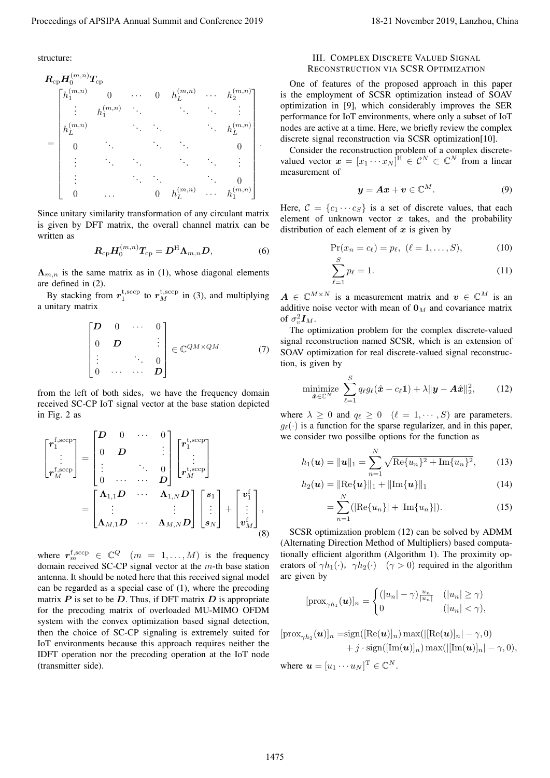structure:

Proceeding of APSIPA Annual Summi and Confricave 2019  
\nstructure:  
\n
$$
R_{ij}H_{ij}^{(m,n)}T_{ij}
$$
  
\n $R_{ij}H_{ij}^{(m,n)}T_{ij}$   
\n $R_{ij}H_{ij}^{(m,n)}T_{ij}$   
\n $R_{ij}H_{ij}^{(m,n)}T_{ij}$   
\n $R_{ij}H_{ij}^{(m,n)}T_{ij}$   
\n $R_{ij}H_{ij}^{(m,n)}T_{ij}$   
\n $R_{ij}H_{ij}^{(m,n)}T_{ij}$   
\n $R_{ij}H_{ij}^{(m,n)}T_{ij}$   
\n $R_{ij}H_{ij}^{(m,n)}T_{ij}$   
\n $R_{ij}H_{ij}^{(m,n)}T_{ij}$   
\n $R_{ij}H_{ij}^{(m,n)}T_{ij}$   
\n $R_{ij}H_{ij}^{(m,n)}T_{ij}$   
\n $R_{ij}H_{ij}^{(m,n)}$   
\n $R_{ij}H_{ij}^{(m,n)}$   
\n $R_{ij}H_{ij}^{(m,n)}$   
\n $R_{ij}H_{ij}^{(m,n)}$   
\n $R_{ij}H_{ij}^{(m,n)}$   
\n $R_{ij}H_{ij}^{(m,n)}$   
\n $R_{ij}H_{ij}^{(m,n)}$   
\n $R_{ij}H_{ij}^{(m,n)}$   
\n $R_{ij}H_{ij}^{(m,n)}$   
\n $R_{ij}H_{ij}^{(m,n)}$   
\n $R_{ij}H_{ij}^{(m,n)}$   
\n $R_{ij}H_{ij}^{(m,n)}$   
\n $R_{ij}H_{ij}^{(m,n)}$   
\n $R_{ij}H_{ij}^{(m,n)}$   
\n $R_{ij}H_{ij}^{(m,n)}$   
\n $R_{ij}H_{ij}^{(m,n)}$   
\n $R_{ij}H_{ij}^{(m,n)}$   
\n $R_{ij}H_{ij}^{(m,n)}$   
\n $R_{ij}H_{ij}^{(m,n)}$   
\n $R_{ij}H_{ij}^{(m,n)}$   
\n $R_{ij}H_{ij}^{(m,n)}$   
\n $R_{ij}H_{ij}^{(m,n)}$   
\n $R_{ij}$ 

Since unitary similarity transformation of any circulant matrix is given by DFT matrix, the overall channel matrix can be written as

$$
\boldsymbol{R}_{\rm cp} \boldsymbol{H}_0^{(m,n)} \boldsymbol{T}_{\rm cp} = \boldsymbol{D}^{\rm H} \boldsymbol{\Lambda}_{m,n} \boldsymbol{D},\tag{6}
$$

 $\Lambda_{m,n}$  is the same matrix as in (1), whose diagonal elements are defined in (2).

By stacking from  $r_1^{\text{t,}{\text{ }s\text{ccp}}}$  to  $r_M^{\text{t,}{\text{ }s\text{ccp}}}$  in (3), and multiplying a unitary matrix

$$
\begin{bmatrix} \mathbf{D} & 0 & \cdots & 0 \\ 0 & \mathbf{D} & & \vdots \\ \vdots & & \ddots & 0 \\ 0 & \cdots & \cdots & \mathbf{D} \end{bmatrix} \in \mathbb{C}^{QM \times QM} \tag{7}
$$

from the left of both sides, we have the frequency domain received SC-CP IoT signal vector at the base station depicted in Fig. 2 as

$$
\begin{bmatrix}\n\mathbf{r}_{1}^{\text{f,scep}} \\
\vdots \\
\mathbf{r}_{M}^{\text{f,scep}}\n\end{bmatrix} =\n\begin{bmatrix}\n\mathbf{D} & 0 & \cdots & 0 \\
0 & \mathbf{D} & \vdots \\
\vdots & \ddots & 0 \\
0 & \cdots & \cdots & \mathbf{D}\n\end{bmatrix}\n\begin{bmatrix}\n\mathbf{r}_{1}^{\text{t,scep}} \\
\vdots \\
\mathbf{r}_{M}^{\text{t,scep}}\n\end{bmatrix}
$$
\n
$$
= \begin{bmatrix}\n\mathbf{\Lambda}_{1,1}\mathbf{D} & \cdots & \mathbf{\Lambda}_{1,N}\mathbf{D} \\
\vdots & & \vdots \\
\mathbf{\Lambda}_{M,1}\mathbf{D} & \cdots & \mathbf{\Lambda}_{M,N}\mathbf{D}\n\end{bmatrix}\n\begin{bmatrix}\n\mathbf{s}_{1} \\
\vdots \\
\mathbf{s}_{N}\n\end{bmatrix} +\n\begin{bmatrix}\n\mathbf{v}_{1}^{f} \\
\vdots \\
\mathbf{v}_{M}^{f}\n\end{bmatrix},
$$
\n(8)

where  $r_m^{\text{f,sccp}} \in \mathbb{C}^Q$   $(m = 1, ..., M)$  is the frequency domain received SC-CP signal vector at the *m*-th base station antenna. It should be noted here that this received signal model can be regarded as a special case of (1), where the precoding matrix  $P$  is set to be  $D$ . Thus, if DFT matrix  $D$  is appropriate for the precoding matrix of overloaded MU-MIMO OFDM system with the convex optimization based signal detection, then the choice of SC-CP signaling is extremely suited for IoT environments because this approach requires neither the IDFT operation nor the precoding operation at the IoT node (transmitter side).

## III. COMPLEX DISCRETE VALUED SIGNAL RECONSTRUCTION VIA SCSR OPTIMIZATION

One of features of the proposed approach in this paper is the employment of SCSR optimization instead of SOAV optimization in [9], which considerably improves the SER performance for IoT environments, where only a subset of IoT nodes are active at a time. Here, we briefly review the complex discrete signal reconstruction via SCSR optimization[10].

Consider the reconstruction problem of a complex discretevalued vector  $\mathbf{x} = [x_1 \cdots x_N]^H \in \mathcal{C}^N \subset \mathbb{C}^N$  from a linear measurement of

$$
y = Ax + v \in \mathbb{C}^M. \tag{9}
$$

Here,  $C = \{c_1 \cdots c_S\}$  is a set of discrete values, that each element of unknown vector  $x$  takes, and the probability distribution of each element of *x* is given by

$$
\Pr(x_n = c_\ell) = p_\ell, \ (\ell = 1, \dots, S), \tag{10}
$$

$$
\sum_{\ell=1}^{S} p_{\ell} = 1.
$$
 (11)

 $A \in \mathbb{C}^{M \times N}$  is a measurement matrix and  $v \in \mathbb{C}^{M}$  is an additive noise vector with mean of  $\mathbf{0}_M$  and covariance matrix of  $\sigma_v^2 I_M$ .

The optimization problem for the complex discrete-valued signal reconstruction named SCSR, which is an extension of SOAV optimization for real discrete-valued signal reconstruction, is given by

$$
\underset{\hat{\boldsymbol{x}} \in \mathbb{C}^N}{\text{minimize}} \sum_{\ell=1}^S q_{\ell} g_{\ell}(\hat{\boldsymbol{x}} - c_{\ell} \mathbf{1}) + \lambda \|\boldsymbol{y} - \boldsymbol{A}\hat{\boldsymbol{x}}\|_2^2, \qquad (12)
$$

where  $\lambda \geq 0$  and  $q_{\ell} \geq 0$  ( $\ell = 1, \dots, S$ ) are parameters.  $g_{\ell}(\cdot)$  is a function for the sparse regularizer, and in this paper, we consider two possilbe options for the function as

$$
h_1(\boldsymbol{u}) = \|\boldsymbol{u}\|_1 = \sum_{n=1}^N \sqrt{\text{Re}\{u_n\}^2 + \text{Im}\{u_n\}^2},\qquad(13)
$$

$$
h_2(\boldsymbol{u}) = \|\text{Re}\{\boldsymbol{u}\}\|_1 + \|\text{Im}\{\boldsymbol{u}\}\|_1 \tag{14}
$$

$$
= \sum_{n=1}^{N} (|\text{Re}\{u_n\}| + |\text{Im}\{u_n\}|). \tag{15}
$$

SCSR optimization problem (12) can be solved by ADMM (Alternating Direction Method of Multipliers) based computationally efficient algorithm (Algorithm 1). The proximity operators of  $\gamma h_1(\cdot)$ ,  $\gamma h_2(\cdot)$  ( $\gamma > 0$ ) required in the algorithm are given by

$$
[\text{prox}_{\gamma h_1}(\boldsymbol{u})]_n = \begin{cases} (|u_n| - \gamma) \frac{u_n}{|u_n|} & (|u_n| \ge \gamma) \\ 0 & (|u_n| < \gamma), \end{cases}
$$

$$
[\text{prox}_{\gamma h_2}(\boldsymbol{u})]_n = \text{sign}([\text{Re}(\boldsymbol{u})]_n) \max(||\text{Re}(\boldsymbol{u})]_n| - \gamma, 0)
$$
  
+ j · sign( $[\text{Im}(\boldsymbol{u})]_n$ ) max( $||[\text{Im}(\boldsymbol{u})]_n| - \gamma, 0$ ),

where  $\mathbf{u} = [u_1 \cdots u_N] \in \mathbb{C}^N$ .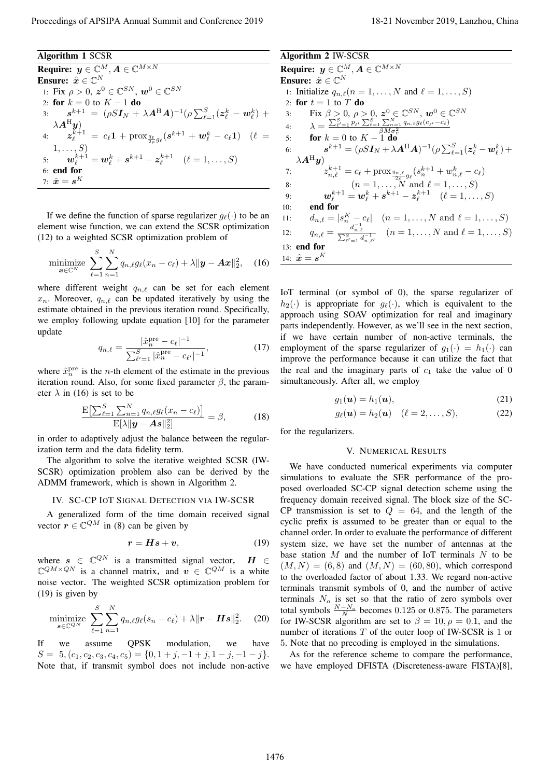## Algorithm 1 SCSR

**Required:** 
$$
y \in \mathbb{C}^{M}, A \in \mathbb{C}^{M \times N}
$$
\n**Exercise:**  $\hat{x} \in \mathbb{C}^{N}$ \n1: Fix  $\rho > 0$ ,  $z^0 \in \mathbb{C}^{SN}$ ,  $w^0 \in \mathbb{C}^{SN}$ \n2: **for**  $k = 0$  to  $K - 1$  **do**\n3:  $s^{k+1} = (\rho S I_N + \lambda A^H A)^{-1} (\rho \sum_{\ell=1}^S (z_{\ell}^k - w_{\ell}^k) + \lambda A^H y)$ \n4:  $z_{\ell}^{k+1} = c_{\ell} 1 + \text{prox}_{\frac{2\ell}{\ell} g_{\ell}} (s^{k+1} + w_{\ell}^k - c_{\ell} 1) \quad (\ell = 1, \ldots, S)$ \n5:  $w_{\ell}^{k+1} = w_{\ell}^k + s^{k+1} - z_{\ell}^{k+1} \quad (\ell = 1, \ldots, S)$ \n6: **end for**\n7:  $\hat{x} = s^K$ 

If we define the function of sparse regularizer  $q_\ell(\cdot)$  to be an element wise function, we can extend the SCSR optimization (12) to a weighted SCSR optimization problem of

$$
\underset{\boldsymbol{x}\in\mathbb{C}^N}{\text{minimize}} \sum_{\ell=1}^S \sum_{n=1}^N q_{n,\ell} g_\ell(x_n - c_\ell) + \lambda \|\boldsymbol{y} - \boldsymbol{A}\boldsymbol{x}\|_2^2, \quad (16)
$$

where different weight *qn,ℓ* can be set for each element  $x_n$ . Moreover,  $q_{n,\ell}$  can be updated iteratively by using the estimate obtained in the previous iteration round. Specifically, we employ following update equation [10] for the parameter update

$$
q_{n,\ell} = \frac{|\hat{x}_n^{\text{pre}} - c_\ell|^{-1}}{\sum_{\ell'=1}^{S} |\hat{x}_n^{\text{pre}} - c_{\ell'}|^{-1}},\tag{17}
$$

where  $\hat{x}_n^{\text{pre}}$  is the *n*-th element of the estimate in the previous iteration round. Also, for some fixed parameter  $\beta$ , the parameter  $\lambda$  in (16) is set to be

$$
\frac{\mathrm{E}\left[\sum_{\ell=1}^{S}\sum_{n=1}^{N}q_{n,\ell}g_{\ell}(x_{n}-c_{\ell})\right]}{\mathrm{E}[\lambda\|\mathbf{y}-\mathbf{A}\mathbf{s}\|_{2}^{2}]}=\beta,
$$
\n(18)

in order to adaptively adjust the balance between the regularization term and the data fidelity term.

The algorithm to solve the iterative weighted SCSR (IW-SCSR) optimization problem also can be derived by the ADMM framework, which is shown in Algorithm 2.

#### IV. SC-CP IOT SIGNAL DETECTION VIA IW-SCSR

A generalized form of the time domain received signal vector  $r \in \mathbb{C}^{QM}$  in (8) can be given by

$$
r = Hs + v,\tag{19}
$$

where  $s \in \mathbb{C}^{QN}$  is a transmitted signal vector,  $H \in$  $\mathbb{C}^{QM \times QN}$  is a channel matrix, and  $v \in \mathbb{C}^{QM}$  is a white noise vector. The weighted SCSR optimization problem for (19) is given by

$$
\underset{\mathbf{s}\in\mathbb{C}^{QN}}{\text{minimize}} \sum_{\ell=1}^{S} \sum_{n=1}^{N} q_{n,\ell} g_{\ell}(s_n - c_{\ell}) + \lambda \|\mathbf{r} - \mathbf{H}\mathbf{s}\|_2^2. \tag{20}
$$

If we assume QPSK modulation, we have  $S = 5$ ,  $(c_1, c_2, c_3, c_4, c_5) = \{0, 1 + j, -1 + j, 1 - j, -1 - j\}.$ Note that, if transmit symbol does not include non-active Algorithm 2 IW-SCSR

**Require:**  $y \in \mathbb{C}^M, A \in \mathbb{C}^{M \times N}$ Ensure:  $\hat{x} \in \mathbb{C}^N$ 1: Initialize  $q_{n,\ell}(n=1,\ldots,N$  and  $\ell=1,\ldots,S)$ 2: **for**  $t = 1$  to  $T$  **do** 3: Fix  $\beta > 0$ ,  $\rho > 0$ ,  $\mathbf{z}^0 \in \mathbb{C}^{SN}$ ,  $\mathbf{w}^0 \in \mathbb{C}^{SN}$ 4:  $\lambda = \frac{\sum_{\ell'=1}^{S} p_{\ell'} \sum_{\ell=1}^{S} \sum_{n=1}^{N} q_{n,\ell} g_{\ell}(c_{\ell'}-c_{\ell})}{\beta M \sigma_v^2}$ 5: **for**  $k = 0$  to  $K - 1$  do 6: *s*  $k+1 = (\rho S \bm{I}_N + \lambda \bm{A}^{\rm H} \bm{A})^{-1} (\rho \sum_{\ell=1}^S (\bm{z}_{\ell}^k - \bm{w}_{\ell}^k) +$  $\lambda\bm A^\mathrm{H} \bm y)$ 7:  $z_{n,\ell}^{k+1} = c_{\ell} + \text{prox}_{\frac{q_{n,\ell}}{2\rho}g_{\ell}}(s_n^{k+1} + w_{n,\ell}^k - c_{\ell})$ 8:  $(n = 1, ..., N \text{ and } \ell = 1, ..., S)$ 9:  $\bm{w}_{\ell}^{k+1} = \bm{w}_{\ell}^k + \bm{s}^{k+1} - \bm{z}_{\ell}^{k+1} \quad (\ell = 1, \ldots, S)$ 10: end for 11:  $d_{n,\ell} = |s_n^K - c_\ell| \quad (n = 1, ..., N \text{ and } \ell = 1, ..., S)$ 12:  $q_{n,\ell} = \frac{d_{n,\ell}^{-1}}{\sum_{\ell'=1}^{S} d_{n,\ell'}^{-1}} \quad (n = 1, \ldots, N \text{ and } \ell = 1, \ldots, S)$ 13: end for 14:  $\hat{x} = s^K$ Proceeding of APSIPA Annual Summit and Conference 2019 11:<br>
Nagating  $y : C^2(A, C^{1/2})$ <br>
Nagating  $y : C^2(A, C^{1/2})$ <br>
Nagating  $y : C^2(A, C^{1/2})$ <br>
Nagating  $y : C^2(A, C^{1/2})$ <br>  $= 20\pi \sqrt{2}$ ,  $y^2 = \sqrt{2}$ <br>
Nagating  $y : C^2(A, C^{1/2})$ <br>  $=$ 

IoT terminal (or symbol of 0), the sparse regularizer of  $h_2(\cdot)$  is appropriate for  $g_\ell(\cdot)$ , which is equivalent to the approach using SOAV optimization for real and imaginary parts independently. However, as we'll see in the next section, if we have certain number of non-active terminals, the employment of the sparse regularizer of  $g_1(\cdot) = h_1(\cdot)$  can improve the performance because it can utilize the fact that the real and the imaginary parts of  $c_1$  take the value of 0 simultaneously. After all, we employ

$$
g_1(\mathbf{u}) = h_1(\mathbf{u}),\tag{21}
$$

$$
g_{\ell}(\boldsymbol{u}) = h_2(\boldsymbol{u}) \quad (\ell = 2, \ldots, S), \tag{22}
$$

for the regularizers.

## V. NUMERICAL RESULTS

We have conducted numerical experiments via computer simulations to evaluate the SER performance of the proposed overloaded SC-CP signal detection scheme using the frequency domain received signal. The block size of the SC-CP transmission is set to  $Q = 64$ , and the length of the cyclic prefix is assumed to be greater than or equal to the channel order. In order to evaluate the performance of different system size, we have set the number of antennas at the base station *M* and the number of IoT terminals *N* to be  $(M, N) = (6, 8)$  and  $(M, N) = (60, 80)$ , which correspond to the overloaded factor of about 1.33. We regard non-active terminals transmit symbols of 0, and the number of active terminals *N<sup>o</sup>* is set so that the ratio of zero symbols over total symbols  $\frac{N-N_o}{N}$  becomes 0.125 or 0.875. The parameters for IW-SCSR algorithm are set to  $\beta = 10, \rho = 0.1$ , and the number of iterations *T* of the outer loop of IW-SCSR is 1 or 5. Note that no precoding is employed in the simulations.

As for the reference scheme to compare the performance, we have employed DFISTA (Discreteness-aware FISTA)[8],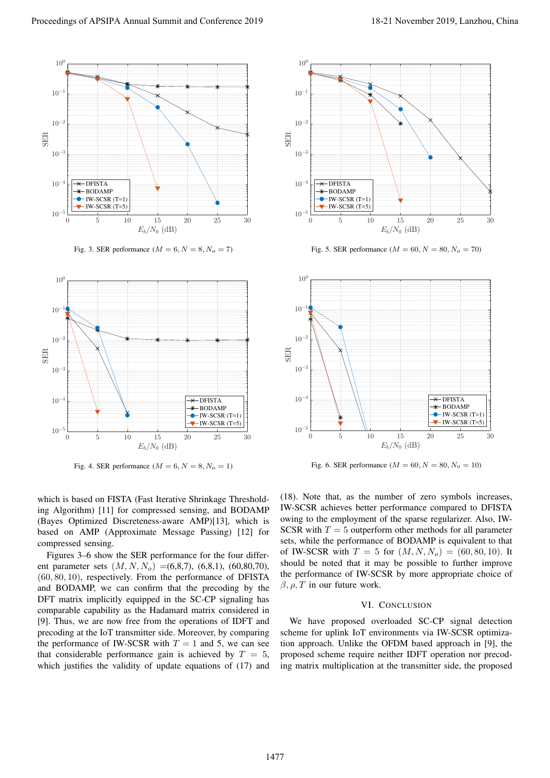

Fig. 3. SER performance  $(M = 6, N = 8, N_o = 7)$ 



Fig. 4. SER performance  $(M = 6, N = 8, N<sub>o</sub> = 1)$ 

which is based on FISTA (Fast Iterative Shrinkage Thresholding Algorithm) [11] for compressed sensing, and BODAMP (Bayes Optimized Discreteness-aware AMP)[13], which is based on AMP (Approximate Message Passing) [12] for compressed sensing.

Figures 3–6 show the SER performance for the four different parameter sets (*M, N, No*) =(6,8,7), (6,8,1), (60,80,70), (60*,* 80*,* 10), respectively. From the performance of DFISTA and BODAMP, we can confirm that the precoding by the DFT matrix implicitly equipped in the SC-CP signaling has comparable capability as the Hadamard matrix considered in [9]. Thus, we are now free from the operations of IDFT and precoding at the IoT transmitter side. Moreover, by comparing the performance of IW-SCSR with  $T = 1$  and 5, we can see that considerable performance gain is achieved by  $T = 5$ , which justifies the validity of update equations of  $(17)$  and



Fig. 5. SER performance ( $M = 60, N = 80, N_o = 70$ )



Fig. 6. SER performance ( $M = 60, N = 80, N_o = 10$ )

(18). Note that, as the number of zero symbols increases, IW-SCSR achieves better performance compared to DFISTA owing to the employment of the sparse regularizer. Also, IW-SCSR with  $T = 5$  outperform other methods for all parameter sets, while the performance of BODAMP is equivalent to that of IW-SCSR with  $T = 5$  for  $(M, N, N_o) = (60, 80, 10)$ . It should be noted that it may be possible to further improve the performance of IW-SCSR by more appropriate choice of  $\beta$ ,  $\rho$ , *T* in our future work.

## VI. CONCLUSION

We have proposed overloaded SC-CP signal detection scheme for uplink IoT environments via IW-SCSR optimization approach. Unlike the OFDM based approach in [9], the proposed scheme require neither IDFT operation nor precoding matrix multiplication at the transmitter side, the proposed